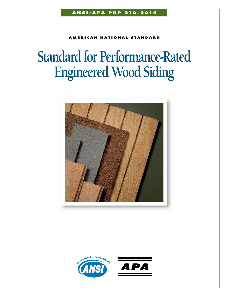**MERICAN NATIONAL STANDARD** 

# **Standard for Performance-Rated Engineered Wood Siding**



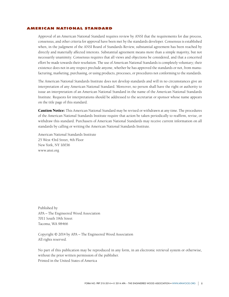## American National Standard

Approval of an American National Standard requires review by ANSI that the requirements for due process, consensus, and other criteria for approval have been met by the standards developer. Consensus is established when, in the judgment of the ANSI Board of Standards Review, substantial agreement has been reached by directly and materially affected interests. Substantial agreement means more than a simple majority, but not necessarily unanimity. Consensus requires that all views and objections be considered, and that a concerted effort be made towards their resolution. The use of American National Standards is completely voluntary; their existence does not in any respect preclude anyone, whether he has approved the standards or not, from manufacturing, marketing, purchasing, or using products, processes, or procedures not conforming to the standards.

The American National Standards Institute does not develop standards and will in no circumstances give an interpretation of any American National Standard. Moreover, no person shall have the right or authority to issue an interpretation of an American National Standard in the name of the American National Standards Institute. Requests for interpretations should be addressed to the secretariat or sponsor whose name appears on the title page of this standard.

**Caution Notice:** This American National Standard may be revised or withdrawn at any time. The procedures of the American National Standards Institute require that action be taken periodically to reaffirm, revise, or withdraw this standard. Purchasers of American National Standards may receive current information on all standards by calling or writing the American National Standards Institute.

American National Standards Institute 25 West 43rd Street, 4th Floor New York, NY 10036 www.ansi.org

Published by APA – The Engineered Wood Association 7011 South 19th Street Tacoma, WA 98466

Copyright © 2014 by APA – The Engineered Wood Association All rights reserved.

No part of this publication may be reproduced in any form, in an electronic retrieval system or otherwise, without the prior written permission of the publisher. Printed in the United States of America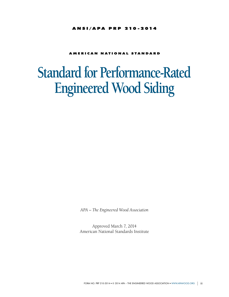#### ANSI/APA PRP 210-2014

## **AMERICAN NATIONAL STANDARD**

# **Standard for Performance-Rated Engineered Wood Siding**

*APA – The Engineered Wood Association*

Approved March 7, 2014 American National Standards Institute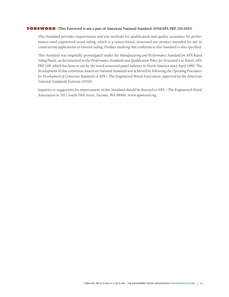#### **FOREWORD** (This Foreword is not a part of American National Standard ANSI/APA PRP 210-2014)

This Standard provides requirements and test methods for qualification and quality assurance for performance-rated engineered wood siding, which is a veneer-based, structural-use product intended for use in construction applications as exterior siding. Product marking that conforms to this Standard is also specified.

This Standard was originally promulgated under the *Manufacturing and Performance Standard for APA Rated Siding Panels*, as documented in the *Performance Standards and Qualification Policy for Structural-Use Panels*, APA PRP 108, which has been in use by the wood structural panel industry in North America since April 1980. The development of this consensus American National Standard was achieved by following the *Operating Procedures for Development of Consensus Standards* of APA – The Engineered Wood Association, approved by the American National Standards Institute (ANSI).

Inquiries or suggestions for improvement of this Standard should be directed to APA – The Engineered Wood Association at 7011 South 19th Street, Tacoma, WA 98466, www.apawood.org.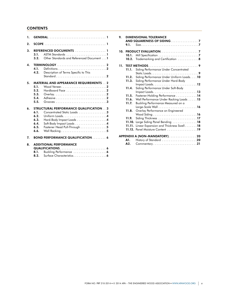# **CONTENTS**

| 1.         |                                                                                                                                                                                                                      |  |
|------------|----------------------------------------------------------------------------------------------------------------------------------------------------------------------------------------------------------------------|--|
| 2.         |                                                                                                                                                                                                                      |  |
| 3.         | REFERENCED DOCUMENTS  1<br>3.1.<br>Other Standards and Referenced Document 1<br>3.2.                                                                                                                                 |  |
| $\Delta$ . | 4.1.<br>Description of Terms Specific to This<br>4.2.                                                                                                                                                                |  |
| 5.         | <b>MATERIAL AND APPEARANCE REQUIREMENTS 2</b><br>5.1.<br>5.2.<br>Hardboard Face $\ldots \ldots \ldots \ldots \ldots \ldots$<br>5.3.<br>5.4.<br>5.5.                                                                  |  |
| 6.         | <b>STRUCTURAL PERFORMANCE QUALIFICATION 3</b><br>6.1.<br>Concentrated Static Loads 3<br>6.2.<br>6.3.<br>Hard-Body Impact Loads 4<br>Soft-Body Impact Loads 4<br>6.4.<br>Fastener Head Pull-Through 5<br>6.5.<br>6.6. |  |
| 7.         | <b>BOND PERFORMANCE QUALIFICATION 6</b>                                                                                                                                                                              |  |
| 8.         | <b>ADDITIONAL PERFORMANCE</b><br>8.1.<br>8.2.                                                                                                                                                                        |  |

| 9. | 9.1.           | <b>DIMENSIONAL TOLERANCE</b>                                                                                                                                 |
|----|----------------|--------------------------------------------------------------------------------------------------------------------------------------------------------------|
|    | 10.1.<br>10.2. | Trademarking and Certification 8                                                                                                                             |
|    | 11.1.          | 11. TEST METHODS9<br>Siding Performance Under Concentrated                                                                                                   |
|    | 11.2.<br>11.3. | Siding Performance Under Uniform Loads. 10<br>Siding Performance Under Hard-Body<br>Impact Loads. $\dots \dots \dots \dots \dots \dots \dots \dots \dots 12$ |
|    | 11.4.          | Siding Performance Under Soft-Body                                                                                                                           |
|    | 11.5.          | Fastener-Holding Performance 14                                                                                                                              |
|    | 11.6.          | Wall Performance Under Racking Loads 15                                                                                                                      |
|    | 11.7.          | Buckling Performance Measured on a                                                                                                                           |
|    | 11.8.          | Overlay Performance on Engineered                                                                                                                            |
|    | 11.9.          | Siding Thickness $\ldots \ldots \ldots \ldots \ldots \ldots \ldots \ldots$                                                                                   |
|    | 11.10.         | Large Siding Panel Bending $\ldots \ldots \ldots \ldots \ldots$ 18                                                                                           |
|    | 11.11.         | Linear Expansion and Thickness Swell18                                                                                                                       |
|    |                | 11.12. Panel Moisture Content 19                                                                                                                             |
|    |                | APPENDIX A (NON-MANDATORY) 20                                                                                                                                |
|    | A1.            | History of Standard 20                                                                                                                                       |
|    | A2.            | Commentary21                                                                                                                                                 |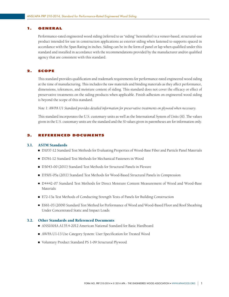# <span id="page-5-0"></span>1. GENERAL

Performance-rated engineered wood siding (referred to as "siding" hereinafter) is a veneer-based, structural-use product intended for use in construction applications as exterior siding when fastened to supports spaced in accordance with the Span Rating in inches. Siding can be in the form of panel or lap when qualified under this standard and installed in accordance with the recommendations provided by the manufacturer and/or qualified agency that are consistent with this standard.

# 2. SCOPE

This standard provides qualification and trademark requirements for performance-rated engineered wood siding at the time of manufacturing. This includes the raw materials and binding materials as they affect performance, dimensions, tolerances, and moisture content of siding. This standard does not cover the efficacy or effect of preservative treatments on the siding products when applicable. Finish adhesion on engineered wood siding is beyond the scope of this standard.

*Note 1: AWPA U1 Standard provides detailed information for preservative treatments on plywood when necessary.*

This standard incorporates the U.S. customary units as well as the International System of Units (SI). The values given in the U.S. customary units are the standard and the SI values given in parentheses are for information only.

# 3. REFERENCED DOCUMENTs

#### 3.1. ASTM Standards

- D1037-12 Standard Test Methods for Evaluating Properties of Wood-Base Fiber and Particle Panel Materials
- D1761-12 Standard Test Methods for Mechanical Fasteners in Wood
- D3043-00 (2011) Standard Test Methods for Structural Panels in Flexure
- D3501-05a (2011) Standard Test Methods for Wood-Based Structural Panels in Compression
- D4442-07 Standard Test Methods for Direct Moisture Content Measurement of Wood and Wood-Base Materials
- E72-13a Test Methods of Conducting Strength Tests of Panels for Building Construction
- E661-03 (2009) Standard Test Method for Performance of Wood and Wood-Based Floor and Roof Sheathing Under Concentrated Static and Impact Loads

## 3.2. Other Standards and Referenced Documents

- ANSI/AHA A135.4-2012 American National Standard for Basic Hardboard
- AWPA U1-13 Use Category System: User Specification for Treated Wood
- Voluntary Product Standard PS 1-09 Structural Plywood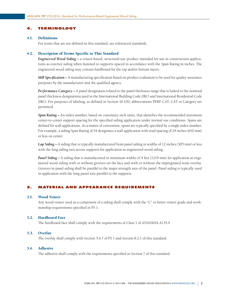# <span id="page-6-0"></span>4. TERMINOLOGY

## 4.1. Definitions

For terms that are not defined in this standard, see referenced standards.

## 4.2. Description of Terms Specific to This Standard

*Engineered Wood Siding –* a veneer-based, structural-use product intended for use in construction applications as exterior siding when fastened to supports spaced in accordance with the Span Rating in inches. The engineered wood siding may contain hardboard for the top and/or bottom layers.

*Mill Specification –* A manufacturing specification based on product evaluation to be used for quality assurance purposes by the manufacturer and the qualified agency.

*Performance Category –* A panel designation related to the panel thickness range that is linked to the nominal panel thickness designations used in the International Building Code (IBC) and International Residential Code (IRC). For purposes of labeling, as defined in Section 10.1(b), abbreviations PERF CAT, CAT or Category are permitted.

*Span Rating –* An index number, based on customary inch units, that identifies the recommended maximum center-to-center support spacing for the specified siding application under normal use conditions. Spans are defined for wall applications. As a matter of convention, spans are typically specified by a single index number. For example, a siding Span Rating of 24 designates a wall application with stud spacing of 24 inches (610 mm) or less on center.

*Lap Siding –* A siding that is typically manufactured from panel siding in widths of 12 inches (305 mm) or less with the long siding axis across supports for application as engineered wood siding.

*Panel Siding –* A siding that is manufactured in minimum widths of 4 feet (1219 mm) for application as engineered wood siding with or without grooves on the face and with or without the impregnated resin overlay. Grooves in panel siding shall be parallel to the major strength axis of the panel. Panel siding is typically used in application with the long panel axis parallel to the supports.

## 5. MATERIAL AND APPEARANCE REQUIREMENTS

#### 5.1. Wood Veneer

Any wood veneer used as a component of a siding shall comply with the "C" or better veneer grade and workmanship requirements specified in PS 1.

## 5.2. Hardboard Face

The hardboard face shall comply with the requirements of Class 1 of ANSI/AHA A135.4.

## 5.3. Overlay

The overlay shall comply with Section 5.6.7 of PS 1 and Section 8.2.1 of this standard.

#### 5.4. Adhesive

The adhesive shall comply with the requirements specified in Section 7 of this standard.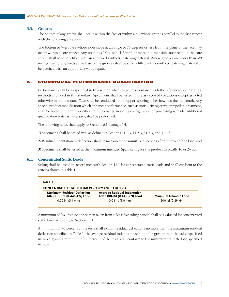## <span id="page-7-0"></span>5.5. Grooves

The bottom of any groove shall occur within the face or within a ply whose grain is parallel to the face veneer with the following exception:

The bottom of V-grooves whose sides slope at an angle of 75 degrees or less from the plane of the face may occur within a core veneer. Any openings 1/16 inch (1.6 mm) or more in dimension intersected in the core veneer shall be solidly filled with an approved synthetic patching material. Where grooves are wider than 3/8 inch (9.5 mm), any voids at the base of the grooves shall be solidly filled with a synthetic patching material or be patched with an appropriate wood repair.

## 6. STRUCTURAL PERFORMANCE QUALIFICATION

Performance shall be as specified in this section when tested in accordance with the referenced standard test methods provided in this standard. Specimens shall be tested in the as-received conditions except as noted otherwise in this standard. Tests shall be conducted at the support spacing to be shown on the trademark. Any special product modification which enhances performance, such as moisturizing or water repellent treatment, shall be noted in the mill specification. If a change in siding configuration or processing is made, additional qualification tests, as necessary, shall be performed.

The following notes shall apply to Sections 6.1 through 6.4:

*1)* Specimens shall be tested wet, as defined in Sections 11.1.3, 11.2.3, 11.3.3, and 11.4.3,

*2)* Residual indentation or deflection shall be measured one minute ± 5 seconds after removal of the load, and

*3)* Specimens shall be tested at the maximum intended Span Rating for the product (typically 16 or 24 oc).

## 6.1. Concentrated Static Loads

Siding shall be tested in accordance with Section 11.1 for concentrated static loads and shall conform to the criteria shown in Table 1.

| TABIF 1                                                             |                                                                      |                       |  |  |  |
|---------------------------------------------------------------------|----------------------------------------------------------------------|-----------------------|--|--|--|
| <b>CONCENTRATED STATIC LOAD PERFORMANCE CRITERIA</b>                |                                                                      |                       |  |  |  |
| <b>Maximum Residual Deflection</b><br>After 100-lbf (0.445-kN) Load | <b>Average Residual Indentation</b><br>After 100-lbf (0.445-kN) Load | Minimum Ultimate Load |  |  |  |
| $0.20$ in. $(5.1$ mm)                                               | $0.04$ in. $(1.0$ mm)                                                | 200 lbf (0.89 kN)     |  |  |  |

A minimum of five tests (one specimen taken from at least five siding panels) shall be evaluated for concentrated static loads according to Section 11.1.

A minimum of 90 percent of the tests shall exhibit residual deflections no more than the maximum residual deflection specified in Table 1; the average residual indentation shall not be greater than the value specified in Table 1; and a minimum of 90 percent of the tests shall conform to the minimum ultimate load specified in Table 1.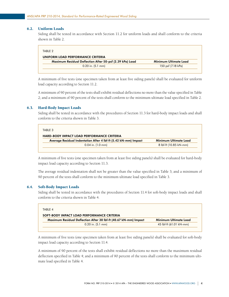## <span id="page-8-0"></span>6.2. Uniform Loads

Siding shall be tested in accordance with Section 11.2 for uniform loads and shall conform to the criteria shown in Table 2.

| TABLE 2                                                  |                       |
|----------------------------------------------------------|-----------------------|
| UNIFORM LOAD PERFORMANCE CRITERIA                        |                       |
| Maximum Residual Deflection After 50-psf (2.39 kPa) Load | Minimum Ultimate Load |
| $0.20$ in. $(5.1$ mm)                                    | 150 psf (7.18 kPa)    |

A minimum of five tests (one specimen taken from at least five siding panels) shall be evaluated for uniform load capacity according to Section 11.2.

A minimum of 90 percent of the tests shall exhibit residual deflections no more than the value specified in Table 2; and a minimum of 90 percent of the tests shall conform to the minimum ultimate load specified in Table 2.

## 6.3. Hard-Body Impact Loads

Siding shall be tested in accordance with the procedures of Section 11.3 for hard-body impact loads and shall conform to the criteria shown in Table 3.

| TABLE 3                                                         |                        |
|-----------------------------------------------------------------|------------------------|
| <b>HARD-BODY IMPACT LOAD PERFORMANCE CRITERIA</b>               |                        |
| Average Residual Indentation After 4 lbf-ft (5.42 kN-mm) Impact | Minimum Ultimate Load  |
| $0.04$ in. $(1.0 \text{ mm})$                                   | 8 lbf-ft (10.85 kN-mm) |

A minimum of five tests (one specimen taken from at least five siding panels) shall be evaluated for hard-body impact load capacity according to Section 11.3.

The average residual indentation shall not be greater than the value specified in Table 3; and a minimum of 90 percent of the tests shall conform to the minimum ultimate load specified in Table 3.

## 6.4. Soft-Body Impact Loads

Siding shall be tested in accordance with the procedures of Section 11.4 for soft-body impact loads and shall conform to the criteria shown in Table 4.

| TABI F 4                                                         |                         |
|------------------------------------------------------------------|-------------------------|
| SOFT-BODY IMPACT LOAD PERFORMANCE CRITERIA                       |                         |
| Maximum Residual Deflection After 30 lbf-ft (40.67 kN-mm) Impact | Minimum Ultimate Load   |
| $0.20$ in. $(5.1$ mm)                                            | 45 lbf-ft (61.01 kN-mm) |

A minimum of five tests (one specimen taken from at least five siding panels) shall be evaluated for soft-body impact load capacity according to Section 11.4.

A minimum of 90 percent of the tests shall exhibit residual deflections no more than the maximum residual deflection specified in Table 4; and a minimum of 90 percent of the tests shall conform to the minimum ultimate load specified in Table 4.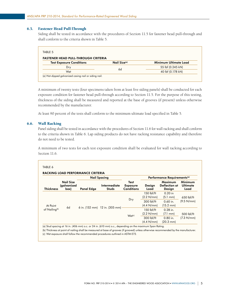# <span id="page-9-0"></span>6.5. Fastener Head Pull-Through

Siding shall be tested in accordance with the procedures of Section 11.5 for fastener head pull-through and shall conform to the criteria shown in Table 5.

| <b>FASTENER HEAD PULL-THROUGH CRITERIA</b> |                          |                       |
|--------------------------------------------|--------------------------|-----------------------|
| <b>Test Exposure Conditions</b>            | Nail Size <sup>(a)</sup> | Minimum Ultimate Load |
| Dry                                        |                          | 55 lbf (0.245 kN)     |
| Wet                                        | 6d                       | 40 lbf (0.178 kN)     |

A minimum of twenty tests (four specimens taken from at least five siding panels) shall be conducted for each exposure condition for fastener head pull-through according to Section 11.5. For the purpose of this testing, thickness of the siding shall be measured and reported at the base of grooves (if present) unless otherwise recommended by the manufacturer.

At least 90 percent of the tests shall conform to the minimum ultimate load specified in Table 5.

## 6.6. Wall Racking

Panel siding shall be tested in accordance with the procedures of Section 11.6 for wall racking and shall conform to the criteria shown in Table 6. Lap siding products do not have racking resistance capability and therefore do not need to be tested.

A minimum of two tests for each test exposure condition shall be evaluated for wall racking according to Section 11.6.

|                           |                                         | <b>Nail Spacing</b> |                              |                                              | Performance Requirements <sup>(a)</sup> |                                           |                                    |
|---------------------------|-----------------------------------------|---------------------|------------------------------|----------------------------------------------|-----------------------------------------|-------------------------------------------|------------------------------------|
| <b>Thickness</b>          | <b>Nail Size</b><br>(galvanized<br>(box | Panel Edge          | Intermediate<br><b>Studs</b> | Test<br><b>Exposure</b><br><b>Conditions</b> | Design<br>Load                          | Maximum<br><b>Deflection at</b><br>Design | Minimum<br><b>Ultimate</b><br>Load |
|                           | 6d<br>6 in. (152 mm) 12 in. (305 mm)    |                     |                              |                                              | $150$ lbf/ft<br>(2.2 N/mm)              | $0.20$ in<br>$(5.1 \text{ mm})$           | 650 lbf/ft                         |
| At Point                  |                                         |                     | Dry                          | 300 lbf/ft<br>(4.4 N/mm)                     | $0.60$ in.<br>$(15.2 \text{ mm})$       | (9.5 N/mm)                                |                                    |
| of Nailing <sup>(b)</sup> |                                         |                     | $Wet^{(c)}$                  | 150 lbf/ft<br>(2.2 N/mm)                     | $0.28$ in.<br>$(7.1 \text{ mm})$        | $500$ lbf/ft<br>(7.3 N/mm)                |                                    |
|                           |                                         |                     |                              | 300 lbf/ft<br>(4.4 N/mm)                     | $0.80$ in.<br>$(20.3 \text{ mm})$       |                                           |                                    |

(a) Stud spacing at 16 in. (406 mm) o.c. or 24 in. (610 mm) o.c., depending on the maximum Span Rating.

(b) Thickness at point of nailing shall be measured at base of grooves (if grooved) unless otherwise recommended by the manufacturer. (c) Wet exposure shall follow the recommended procedures outlined in ASTM E72.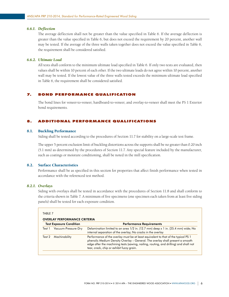#### <span id="page-10-0"></span>*6.6.1. Deflection*

The average deflection shall not be greater than the value specified in Table 6. If the average deflection is greater than the value specified in Table 6, but does not exceed the requirement by 20 percent, another wall may be tested. If the average of the three walls taken together does not exceed the value specified in Table 6, the requirement shall be considered satisfied.

# *6.6.2. Ultimate Load*

All tests shall conform to the minimum ultimate load specified in Table 6. If only two tests are evaluated, then values shall be within 10 percent of each other. If the two ultimate loads do not agree within 10 percent, another wall may be tested. If the lowest value of the three walls tested exceeds the minimum ultimate load specified in Table 6, the requirement shall be considered satisfied.

## 7. BOND PERFORMANCE QUALIFICATION

The bond lines for veneer-to-veneer, hardboard-to-veneer, and overlay-to-veneer shall meet the PS 1 Exterior bond requirements.

# 8. ADDITIONAL PERFORMANCE QUALIFICATIONS

#### 8.1. Buckling Performance

Siding shall be tested according to the procedures of Section 11.7 for stability on a large-scale test frame.

The upper 5 percent exclusion limit of buckling distortions across the supports shall be no greater than 0.20 inch (5.1 mm) as determined by the procedures of Section 11.7. Any special feature included by the manufacturer, such as coatings or moisture conditioning, shall be noted in the mill specification.

## 8.2. Surface Characteristics

Performance shall be as specified in this section for properties that affect finish performance when tested in accordance with the referenced test method.

#### *8.2.1. Overlays*

Siding with overlays shall be tested in accordance with the procedures of Section 11.8 and shall conform to the criteria shown in Table 7. A minimum of five specimens (one specimen each taken from at least five siding panels) shall be tested for each exposure condition.

| <b>Test Exposure Condition</b> |                     | <b>Performance Requirements</b>                                                                                                                                                                                                                                                                           |
|--------------------------------|---------------------|-----------------------------------------------------------------------------------------------------------------------------------------------------------------------------------------------------------------------------------------------------------------------------------------------------------|
| Test 1                         | Vacuum-Pressure-Dry | Delamination limited to an area 1/2 in. (12.7 mm) deep x 1 in. (25.4 mm) wide; No<br>internal separation of the overlay; No cracks in the overlay                                                                                                                                                         |
| Test 2                         | Machinability       | Performance of the overlay must be at least equivalent to that of the typical PS 1<br>phenolic Medium Density Overlay - General. The overlay shall present a smooth<br>edge after the machining tests (sawing, nailing, routing, and drilling) and shall not<br>tear, crack, chip or exhibit fuzzy grain. |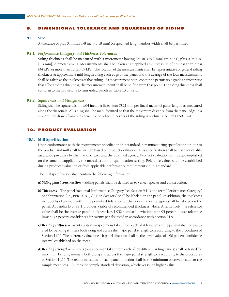#### <span id="page-11-0"></span>9. DIMENSIONAL TOLERANCE AND SQUARENESS OF SIDING

#### 9.1. Size

A tolerance of plus 0, minus 1/8 inch (3.18 mm) on specified length and/or width shall be permitted.

## *9.1.1. Performance Category and Thickness Tolerances*

Siding thickness shall be measured with a micrometer having 3/4 in. (19.1 mm) (minus 0, plus 0.050 in. [1.3 mm]) diameter anvils. Measurements shall be taken at an applied anvil pressure of not less than 5 psi (34 kPa) or more than 10 psi (69 kPa). The location of the measurements shall be representative of general siding thickness at approximate mid-length along each edge of the panel and the average of the four measurements shall be taken as the thickness of that siding. If a measurement point contains a permissible grade characteristic that affects siding thickness, the measurement point shall be shifted from that point. The siding thickness shall conform to the provisions for unsanded panels in Table 10 of PS 1.

#### *9.1.2. Squareness and Straightness*

Siding shall be square within 1/64 inch per lineal foot (5.21 mm per lineal meter) of panel length, as measured along the diagonals. All siding shall be manufactured so that the maximum distance from the panel edge to a straight line drawn from one corner to the adjacent corner of the siding is within 1/16 inch (1.59 mm).

# 10. PRODUCT EVALUATION

#### 10.1. Mill Specification

Upon conformance with the requirements specified in this standard, a manufacturing specification unique to the product and mill shall be written based on product evaluation. This specification shall be used for quality assurance purposes by the manufacturer and the qualified agency. Product evaluation will be accomplished on the same lot supplied by the manufacturer for qualification testing. Reference values shall be established during product evaluation or from applicable performance requirements in this standard.

The mill specification shall contain the following information:

*a) Siding panel construction –* Siding panels shall be defined as to veneer species and construction.

- *b) Thickness –* The panel fractional Performance Category (see Section 9.1.1) and term "Performance Category" or abbreviation (i.e., PERF CAT, CAT or Category) shall be labeled on the panel. In addition, the thickness in 1000ths of an inch within the permitted tolerance for the Performance Category shall be labeled on the panel. Appendix D of PS 1 provides a table of recommended thickness labels. Alternatively, the reference value shall be the average panel thickness less 1.932 standard deviations (the 95 percent lower tolerance limit at 75 percent confidence) for twenty panels tested in accordance with Section 11.9.
- *c) Bending stiffness –* Twenty tests (two specimens taken from each of at least ten siding panels) shall be evaluated for bending stiffness both along and across the major panel strength axis according to the procedures of Section 11.10. The reference value for each panel direction shall be the lower value of a 90 percent confidence interval established on the mean.
- *d)Bending strength –* Ten tests (one specimen taken from each of ten different siding panels) shall be tested for maximum bending moment both along and across the major panel strength axis according to the procedures of Section 11.10. The reference values for each panel direction shall be the minimum observed value, or the sample mean less 1.8 times the sample standard deviation, whichever is the higher value.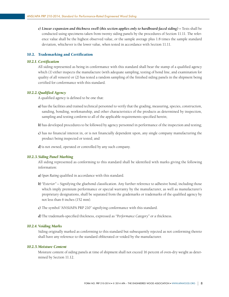<span id="page-12-0"></span>*e) Linear expansion and thickness swell (this section applies only to hardboard-faced siding) –* Tests shall be conducted using specimens taken from twenty siding panels by the procedures of Section 11.11. The reference value shall be the highest observed value, or the sample average plus 1.8 times the sample standard deviation, whichever is the lower value, when tested in accordance with Section 11.11.

#### 10.2. Trademarking and Certification

## *10.2.1. Certification*

All siding represented as being in conformance with this standard shall bear the stamp of a qualified agency which (1) either inspects the manufacture (with adequate sampling, testing of bond line, and examination for quality of all veneers) or (2) has tested a random sampling of the finished siding panels in the shipment being certified for conformance with this standard.

#### *10.2.2. Qualified Agency*

A qualified agency is defined to be one that:

- *a)* has the facilities and trained technical personnel to verify that the grading, measuring, species, construction, sanding, bonding, workmanship, and other characteristics of the products as determined by inspection, sampling and testing conform to all of the applicable requirements specified herein;
- *b)* has developed procedures to be followed by agency personnel in performance of the inspection and testing;
- *c)* has no financial interest in, or is not financially dependent upon, any single company manufacturing the product being inspected or tested; and
- *d)*is not owned, operated or controlled by any such company.

## *10.2.3. Siding Panel Marking*

All siding represented as conforming to this standard shall be identified with marks giving the following information:

- *a) Span Rating* qualified in accordance with this standard.
- *b) "Exterior"* Signifying the gluebond classification. Any further reference to adhesive bond, including those which imply premium performance or special warranty by the manufacturer, as well as manufacturer's proprietary designations, shall be separated from the grademarks or trademarks of the qualified agency by not less than 6 inches (152 mm).
- *c)* The symbol "ANSI/APA PRP 210" signifying conformance with this standard.
- *d)* The trademark-specified thickness, expressed as *"Performance Category"* or a thickness.

#### *10.2.4. Voiding Marks*

Siding originally marked as conforming to this standard but subsequently rejected as not conforming thereto shall have any reference to the standard obliterated or voided by the manufacturer.

#### *10.2.5. Moisture Content*

Moisture content of siding panels at time of shipment shall not exceed 16 percent of oven-dry weight as determined by Section 11.12.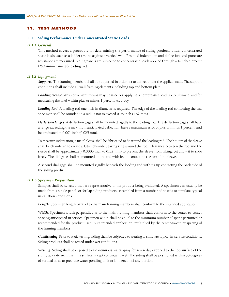## <span id="page-13-0"></span>11. TEST METHODS

#### 11.1. Siding Performance Under Concentrated Static Loads

#### *11.1.1. General*

This method covers a procedure for determining the performance of siding products under concentrated static loads, such as a ladder resting against a vertical wall. Residual indentation and deflection, and puncture resistance are measured. Siding panels are subjected to concentrated loads applied through a 1-inch-diameter (25.4-mm-diameter) loading rod.

#### *11.1.2. Equipment*

*Supports.* The framing members shall be supported in order not to deflect under the applied loads. The support conditions shall include all wall framing elements including top and bottom plate.

*Loading Device.* Any convenient means may be used for applying a compressive load up to ultimate, and for measuring the load within plus or minus 1 percent accuracy.

*Loading Rod.* A loading rod one inch in diameter is required. The edge of the loading rod contacting the test specimen shall be rounded to a radius not to exceed 0.06 inch (1.52 mm).

*Deflection Gages.* A deflection gage shall be mounted rigidly to the loading rod. The deflection gage shall have a range exceeding the maximum anticipated deflection, have a maximum error of plus or minus 1 percent, and be graduated to 0.001 inch (0.025 mm).

To measure indentation, a metal sleeve shall be fabricated to fit around the loading rod. The bottom of the sleeve shall be chamfered to create a 1/4-inch-wide bearing ring around the rod. Clearance between the rod and the sleeve shall be approximately 0.0005 inch (0.0127 mm) to prevent the sleeve from tilting, yet allow it to slide freely. The dial gage shall be mounted on the rod with its tip contacting the top of the sleeve.

A second dial gage shall be mounted rigidly beneath the loading rod with its tip contacting the back side of the siding product.

## *11.1.3. Specimen Preparation*

Samples shall be selected that are representative of the product being evaluated. A specimen can usually be made from a single panel, or for lap siding products, assembled from a number of boards to simulate typical installation conditions.

Length. Specimen length parallel to the main framing members shall conform to the intended application.

*Width.* Specimen width perpendicular to the main framing members shall conform to the center-to-center spacing anticipated in service. Specimen width shall be equal to the minimum number of spans permitted or recommended for the product used in its intended application, multiplied by the center-to-center spacing of the framing members.

*Conditioning.* Prior to static testing, siding shall be subjected to wetting to simulate typical in-service conditions. Siding products shall be tested under wet conditions.

*Wetting.* Siding shall be exposed to a continuous water spray for seven days applied to the top surface of the siding at a rate such that this surface is kept continually wet. The siding shall be positioned within 30 degrees of vertical so as to preclude water ponding on it or immersion of any portion.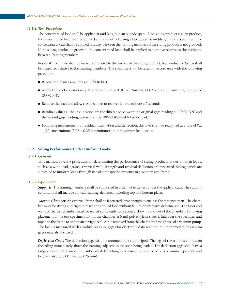#### <span id="page-14-0"></span>*11.1.4. Test Procedure*

The concentrated load shall be applied at mid-length to an outside span. If the siding product is a lap product, the concentrated load shall be applied at mid-width of a single lap located at mid-length of the specimen. The concentrated load shall be applied midway between the framing members if the siding product is not grooved. If the siding product is grooved, the concentrated load shall be applied to a groove nearest to the midpoint between framing members.

Residual *indentation* shall be measured relative to the surface of the siding product, but residual *deflection* shall be measured relative to the framing members. The specimen shall be tested in accordance with the following procedure:

- Record initial measurements at  $0 \text{ lbf}$   $(0 \text{ kN})$ .
- Apply the load continuously at a rate of  $0.04 \pm 0.01$  inch/minute (1.02  $\pm 0.25$  mm/minute) to 100 lbf (0.445 kN).
- Remove the load and allow the specimen to recover for one minute  $\pm$  5 seconds.
- Residual values at the test location are the difference between the original gage reading at 0 lbf (0 kN) and the second gage reading, taken after the 100-lbf (0.445-kN) proof load.
- Following measurement of residual indentation and deflection, the load shall be reapplied at a rate of 0.2  $\pm$  0.01 inch/minute (5.08  $\pm$  0.25 mm/minute), until maximum load occurs.

#### 11.2. Siding Performance Under Uniform Loads

#### *11.2.1. General*

This method covers a procedure for determining the performance of siding products under uniform loads, such as a wind load, against a vertical wall. Strength and residual deflection are measured. Siding panels are subjected to uniform loads through use of atmospheric pressure in a vacuum test frame.

## *11.2.2. Equipment*

*Supports.* The framing members shall be supported in order not to deflect under the applied loads. The support conditions shall include all wall framing elements, including top and bottom plates.

*Vacuum Chamber.* An external frame shall be fabricated large enough to enclose the test specimen. The chamber must be strong and rigid to resist the applied load without failure or excessive deformation. The floor and walls of the test chamber must be sealed sufficiently to prevent airflow in and out of the chamber. Following placement of the test specimen within the chamber, a 6-mil polyethylene sheet is laid over the specimen and taped to the frame to obtain an airtight seal. Air is removed from the chamber through use of a vacuum pump. The load is measured with absolute pressure gages for electronic data readout, but manometers or vacuum gages may also be used.

*Deflection Gage.* The deflection gage shall be mounted on a rigid tripod. The legs of the tripod shall rest on the siding immediately above the framing, adjacent to the span being loaded. The deflection gage shall have a range exceeding the maximum anticipated deflection, have a maximum error of plus or minus 1 percent, and be graduated to 0.001 inch (0.025 mm).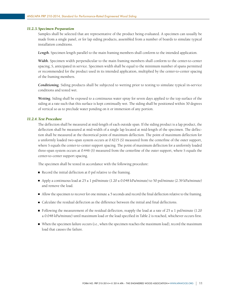#### *11.2.3. Specimen Preparation*

Samples shall be selected that are representative of the product being evaluated. A specimen can usually be made from a single panel, or for lap siding products, assembled from a number of boards to simulate typical installation conditions.

Length. Specimen length parallel to the main framing members shall conform to the intended application.

*Width.* Specimen width perpendicular to the main framing members shall conform to the center-to-center spacing, S, anticipated in service. Specimen width shall be equal to the minimum number of spans permitted or recommended for the product used in its intended application, multiplied by the center-to-center spacing of the framing members.

*Conditioning.* Siding products shall be subjected to wetting prior to testing to simulate typical in-service conditions and tested wet.

*Wetting.* Siding shall be exposed to a continuous water spray for seven days applied to the top surface of the siding at a rate such that this surface is kept continually wet. The siding shall be positioned within 30 degrees of vertical so as to preclude water ponding on it or immersion of any portion.

#### *11.2.4. Test Procedure*

The deflection shall be measured at mid-length of each outside span. If the siding product is a lap product, the deflection shall be measured at mid-width of a single lap located at mid-length of the specimen. The deflection shall be measured at the theoretical point of maximum deflection. The point of maximum deflection for a uniformly loaded two-span system occurs at 0.4215 (S) measured from the centerline of the outer support, where S equals the center-to-center support spacing. The point of maximum deflection for a uniformly loaded three-span system occurs at 0.446 (S) measured from the centerline of the outer support, where S equals the center-to-center support spacing.

The specimen shall be tested in accordance with the following procedure:

- Record the initial deflection at 0 psf relative to the framing.
- Apply a continuous load at  $25 \pm 1$  psf/minute  $(1.20 \pm 0.048 \text{ kPa/minute})$  to 50 psf/minute  $(2.39 \text{ kPa/minute})$ and remove the load.
- $\blacksquare$  Allow the specimen to recover for one minute  $\pm 5$  seconds and record the final deflection relative to the framing.
- Calculate the residual deflection as the difference between the initial and final deflections.
- Following the measurement of the residual deflection, reapply the load at a rate of  $25 \pm 1$  psf/minute (1.20) ± 0.048 kPa/minute) until maximum load or the load specified in Table 2 is reached, whichever occurs first.
- $\blacksquare$  When the specimen failure occurs (i.e., when the specimen reaches the maximum load), record the maximum load that causes the failure.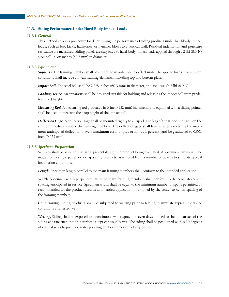## <span id="page-16-0"></span>11.3. Siding Performance Under Hard-Body Impact Loads

# *11.3.1. General*

This method covers a procedure for determining the performance of siding products under hard-body impact loads, such as foot kicks, hailstones, or hammer blows to a vertical wall. Residual indentation and puncture resistance are measured. Siding panels are subjected to hard-body impact loads applied through a 2-lbf (8.9-N) steel ball, 2-3/8 inches (60.3 mm) in diameter.

#### *11.3.2. Equipment*

*Supports.* The framing member shall be supported in order not to deflect under the applied loads. The support conditions shall include all wall framing elements, including top and bottom plate.

*Impact Ball.* The steel ball shall be 2-3/8 inches (60.3 mm) in diameter, and shall weigh 2 lbf (8.9 N).

*Loading Device.* An apparatus shall be designed suitable for holding and releasing the impact ball from predetermined heights.

*Measuring Rod.* A measuring rod graduated in 6-inch (152-mm) increments and equipped with a sliding pointer shall be used to measure the drop height of the impact ball.

*Deflection Gage.* A deflection gage shall be mounted rigidly to a tripod. The legs of the tripod shall rest on the siding immediately above the framing members. The deflection gage shall have a range exceeding the maximum anticipated deflection, have a maximum error of plus or minus 1 percent, and be graduated to 0.001 inch (0.025 mm).

#### *11.3.3. Specimen Preparation*

Samples shall be selected that are representative of the product being evaluated. A specimen can usually be made from a single panel, or for lap siding products, assembled from a number of boards to simulate typical installation conditions.

Length. Specimen length parallel to the main framing members shall conform to the intended application.

*Width.* Specimen width perpendicular to the main framing members shall conform to the center-to-center spacing anticipated in service. Specimen width shall be equal to the minimum number of spans permitted or recommended for the product used in its intended application, multiplied by the center-to-center spacing of the framing members.

*Conditioning.* Siding products shall be subjected to wetting prior to testing to simulate typical in-service conditions and tested wet.

*Wetting.* Siding shall be exposed to a continuous water spray for seven days applied to the top surface of the siding at a rate such that this surface is kept continually wet. The siding shall be positioned within 30 degrees of vertical so as to preclude water ponding on it or immersion of any portion.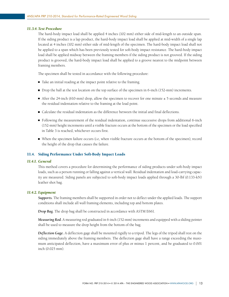## <span id="page-17-0"></span>*11.3.4. Test Procedure*

The hard-body impact load shall be applied 4 inches (102 mm) either side of mid-length to an outside span. If the siding product is a lap product, the hard-body impact load shall be applied at mid-width of a single lap located at 4 inches (102 mm) either side of mid-length of the specimen. The hard-body impact load shall not be applied to a span which has been previously tested for soft-body impact resistance. The hard-body impact load shall be applied midway between the framing members if the siding product is not grooved. If the siding product is grooved, the hard-body impact load shall be applied to a groove nearest to the midpoint between framing members.

The specimen shall be tested in accordance with the following procedure:

- Take an initial reading at the impact point relative to the framing.
- Drop the ball at the test location on the top surface of the specimen in 6-inch (152-mm) increments.
- After the 24-inch (610-mm) drop, allow the specimen to recover for one minute  $\pm$  5 seconds and measure the residual indentation relative to the framing at the load point.
- Calculate the residual indentation as the difference between the initial and final deflections.
- Following the measurement of the residual indentation, continue successive drops from additional 6-inch (152-mm) height increments until a visible fracture occurs at the bottom of the specimen or the load specified in Table 3 is reached, whichever occurs first.
- When the specimen failure occurs (i.e, when visible fracture occurs at the bottom of the specimen), record the height of the drop that causes the failure.

#### 11.4. Siding Performance Under Soft-Body Impact Loads

## *11.4.1. General*

This method covers a procedure for determining the performance of siding products under soft-body impact loads, such as a person running or falling against a vertical wall. Residual indentation and load-carrying capacity are measured. Siding panels are subjected to soft-body impact loads applied through a 30-lbf (0.133-kN) leather shot bag.

#### *11.4.2. Equipment*

*Supports.* The framing members shall be supported in order not to deflect under the applied loads. The support conditions shall include all wall framing elements, including top and bottom plates.

*Drop Bag.* The drop bag shall be constructed in accordance with ASTM E661.

*Measuring Rod.* A measuring rod graduated in 6-inch (152-mm) increments and equipped with a sliding pointer shall be used to measure the drop height from the bottom of the bag.

*Deflection Gage.* A deflection gage shall be mounted rigidly to a tripod. The legs of the tripod shall rest on the siding immediately above the framing members. The deflection gage shall have a range exceeding the maximum anticipated deflection, have a maximum error of plus or minus 1 percent, and be graduated to 0.001 inch (0.025 mm).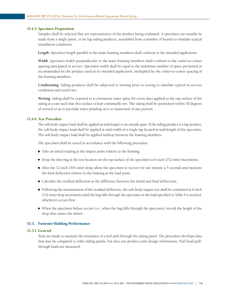#### <span id="page-18-0"></span>*11.4.3. Specimen Preparation*

Samples shall be selected that are representative of the product being evaluated. A specimen can usually be made from a single panel, or for lap siding products, assembled from a number of boards to simulate typical installation conditions.

Length. Specimen length parallel to the main framing members shall conform to the intended application.

*Width.* Specimen width perpendicular to the main framing members shall conform to the center-to-center spacing anticipated in service. Specimen width shall be equal to the minimum number of spans permitted or recommended for the product used in its intended application, multiplied by the center-to-center spacing of the framing members.

*Conditioning.* Siding products shall be subjected to wetting prior to testing to simulate typical in-service conditions and tested wet.

*Wetting.* Siding shall be exposed to a continuous water spray for seven days applied to the top surface of the siding at a rate such that this surface is kept continually wet. The siding shall be positioned within 30 degrees of vertical so as to preclude water ponding on it or immersion of any portion.

#### *11.4.4. Test Procedure*

The soft-body impact load shall be applied at mid-length to an outside span. If the siding product is a lap product, the soft-body impact load shall be applied at mid-width of a single lap located at mid-length of the specimen. The soft-body impact load shall be applied midway between the framing members.

The specimen shall be tested in accordance with the following procedure:

- Take an initial reading at the impact point relative to the framing.
- Drop the shot bag at the test location on the top surface of the specimen in 6-inch (152-mm) increments.
- After the 12-inch (305-mm) drop, allow the specimen to recover for one minute  $\pm$  5 seconds and measure the final deflection relative to the framing at the load point.
- Calculate the residual deflection as the difference between the initial and final deflections.
- Following the measurement of the residual deflection, the soft-body impact test shall be continued at 6-inch (152-mm) drop increments until the bag falls through the specimen or the load specified in Table 4 is reached, whichever occurs first.
- When the specimen failure occurs (i.e., when the bag falls through the specimen), record the height of the drop that causes the failure.

## 11.5. Fastener-Holding Performance

## *11.5.1. General*

Tests are made to measure the resistance of a nail pull-through the siding panel. The procedure develops data that may be compared to other siding panels, but does not produce joint design information. Nail head pullthrough loads are measured.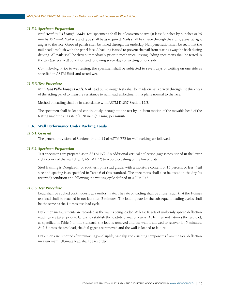## <span id="page-19-0"></span>*11.5.2. Specimen Preparation*

*Nail Head Pull-Through Loads.* Test specimens shall be of convenient size (at least 3 inches by 6 inches or 76 mm by 152 mm). Nail size and type shall be as required. Nails shall be driven through the siding panel at right angles to the face. Grooved panels shall be nailed through the underlap. Nail penetration shall be such that the nail head lies flush with the panel face. A backing is used to prevent the nail from tearing away the back during driving. All nails shall be driven immediately prior to mechanical testing. Siding specimens shall be tested in the dry (as-received) condition and following seven days of wetting on one side.

*Conditioning.* Prior to wet testing, the specimen shall be subjected to seven days of wetting on one side as specified in ASTM E661 and tested wet.

## *11.5.3. Test Procedure*

*Nail Head Pull-Through Loads.* Nail head pull-through tests shall be made on nails driven through the thickness of the siding panel to measure resistance to nail head embedment in a plane normal to the face.

Method of loading shall be in accordance with ASTM D1037 Section 15.5.

The specimen shall be loaded continuously throughout the test by uniform motion of the movable head of the testing machine at a rate of 0.20 inch (5.1 mm) per minute.

## 11.6. Wall Performance Under Racking Loads

#### *11.6.1. General*

The general provisions of Sections 14 and 15 of ASTM E72 for wall racking are followed.

#### *11.6.2. Specimen Preparation*

Test specimens are prepared as in ASTM E72. An additional vertical deflection gage is positioned in the lower right corner of the wall (Fig. 7, ASTM E72) to record crushing of the lower plate.

Stud framing is Douglas-fir or southern pine stud grade, with a moisture content of 15 percent or less. Nail size and spacing is as specified in Table 6 of this standard. The specimens shall also be tested in the dry (as received) condition and following the wetting cycle defined in ASTM E72.

## *11.6.3. Test Procedure*

Load shall be applied continuously at a uniform rate. The rate of loading shall be chosen such that the 1-times test load shall be reached in not less than 2 minutes. The loading rate for the subsequent loading cycles shall be the same as the 1-times test load cycle.

Deflection measurements are recorded as the wall is being loaded. At least 10 sets of uniformly spaced deflection readings are taken prior to failure to establish the load-deformation curve. At 1-times and 2-times the test load, as specified in Table 6 of this standard, the load is removed and the wall is allowed to recover for 5 minutes. At 2.5-times the test load, the dial gages are removed and the wall is loaded to failure.

Deflections are reported after removing panel uplift, base slip and crushing components from the total deflection measurement. Ultimate load shall be recorded.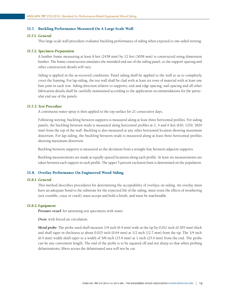#### <span id="page-20-0"></span>11.7. Buckling Performance Measured On A Large-Scale Wall

# *11.7.1. General*

This large-scale wall procedure evaluates buckling performance of siding when exposed to one-sided wetting.

#### *11.7.2. Specimen Preparation*

A lumber frame measuring at least 8 feet (2438 mm) by 12 feet (3658 mm) is constructed using dimension lumber. The frame construction simulates the intended end use of the siding panel, so the support spacing and other construction details will vary.

Siding is applied in the as-received conditions. Panel siding shall be applied to the wall so as to completely cover the framing. For lap siding, the test wall shall be clad with at least six rows of material with at least one butt joint in each row. Siding direction relative to supports, end and edge spacing, nail spacing and all other fabrication details shall be carefully maintained according to the application recommendations for the particular end use of the panels.

## *11.7.3. Test Procedure*

A continuous water spray is then applied to the top surface for 21 consecutive days.

Following wetting, buckling between supports is measured along at least three horizontal profiles. For siding panels, the buckling between studs is measured along horizontal profiles at 2, 4 and 6 feet (610, 1219, 1829 mm) from the top of the wall. Buckling is also measured at any other horizontal location showing maximum distortion. For lap siding, the buckling between studs is measured along at least three horizontal profiles showing maximum distortion.

Buckling between supports is measured as the deviation from a straight line between adjacent supports.

Buckling measurements are made at equally spaced locations along each profile. At least six measurements are taken between each support in each profile. The upper 5 percent exclusion limit is determined on the population.

## 11.8. Overlay Performance On Engineered Wood Siding

#### *11.8.1. General*

This method describes procedures for determining the acceptability of overlays on siding. An overlay must have an adequate bond to the substrate for the expected life of the siding, must resist the effects of weathering (not crumble, craze or crack), must accept and hold a finish, and must be machinable.

#### *11.8.2. Equipment*

*Pressure vessel:* for saturating test specimens with water.

*Oven:* with forced air circulation.

*Metal probe:* The probe used shall measure 1/4 inch (6.4 mm) wide at the tip by 0.012 inch (0.305 mm) thick and shall taper in thickness to about 0.025 inch (0.64 mm) at 1/2 inch (12.7 mm) from the tip. The 1/4 inch (6.4 mm) width shall taper to a width of 5/8 inch (15.9 mm) at 1 inch (25.4 mm) from the end. The probe can be any convenient length. The end of the probe is to be squared off and not sharp so that when probing delaminations, fibers across the delaminated area will not be cut.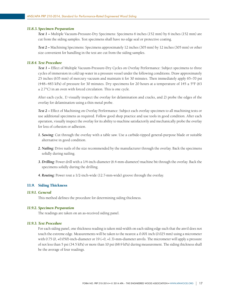#### <span id="page-21-0"></span>*11.8.3. Specimen Preparation*

*Test 1 –* Multiple Vacuum-Pressure-Dry Specimens: Specimens 6 inches (152 mm) by 6 inches (152 mm) are cut from the siding samples. Test specimens shall have no edge seal or protective coating.

*Test 2 –* Machining Specimens: Specimens approximately 12 inches (305 mm) by 12 inches (305 mm) or other size convenient for handling in the test are cut from the siding samples.

#### *11.8.4. Test Procedure*

*Test 1 –* Effect of Multiple Vacuum-Pressure-Dry Cycles on Overlay Performance: Subject specimens to three cycles of immersion in cold tap water in a pressure vessel under the following conditions. Draw approximately 25 inches (635 mm) of mercury vacuum and maintain it for 30 minutes. Then immediately apply 65–70 psi (448–483 kPa) of pressure for 30 minutes. Dry specimens for 20 hours at a temperature of  $145 \pm 5$ °F (63)  $\pm$  2.7°C) in an oven with forced circulation. This is one cycle.

After each cycle, 1) visually inspect the overlay for delamination and cracks, and 2) probe the edges of the overlay for delamination using a thin metal probe.

*Test 2 –* Effect of Machining on Overlay Performance: Subject each overlay specimen to all machining tests or use additional specimens as required. Follow good shop practice and use tools in good condition. After each operation, visually inspect the overlay for its ability to machine satisfactorily and mechanically probe the overlay for loss of cohesion or adhesion.

- *1. Sawing:* Cut through the overlay with a table saw. Use a carbide-tipped general-purpose blade or suitable alternative in good condition.
- *2. Nailing:* Drive nails of the size recommended by the manufacturer through the overlay. Back the specimens solidly during nailing.
- *3. Drilling:* Power drill with a 1/4-inch-diameter (6.4-mm-diameter) machine bit through the overlay. Back the specimens solidly during the drilling.
- *4. Routing:* Power rout a 1/2-inch-wide (12.7-mm-wide) groove through the overlay.

# 11.9. Siding Thickness

## *11.9.1. General*

This method defines the procedure for determining siding thickness.

## *11.9.2. Specimen Preparation*

The readings are taken on an as-received siding panel.

## *11.9.3. Test Procedure*

For each siding panel, one thickness reading is taken mid-width on each siding edge such that the anvil does not touch the extreme edge. Measurements will be taken to the nearest  $\pm 0.001$  inch (0.025 mm) using a micrometer with 0.75 (0, +0.050)-inch-diameter or 19 (-0, +1.3)-mm-diameter anvils. The micrometer will apply a pressure of not less than 5 psi (34.5 kPa) or more than 10 psi (68.9 kPa) during measurement. The siding thickness shall be the average of four readings.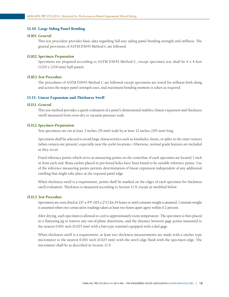## <span id="page-22-0"></span>11.10. Large Siding Panel Bending

# *11.10.1. General*

This test procedure provides basic data regarding full-size siding panel bending strength and stiffness. The general provisions of ASTM D3043 Method C are followed.

#### *11.10.2. Specimen Preparation*

Specimens are prepared according to ASTM D3043 Method C, except specimen size shall be 4 x 4-foot (1219 x 1219-mm) half-panels.

#### *11.10.3. Test Procedure*

The procedures of ASTM D3043 Method C are followed except specimens are tested for stiffness both along and across the major panel strength axes, and maximum bending moment is taken as required.

#### 11.11. Linear Expansion and Thickness Swell

#### *11.11.1. General*

This test method provides a quick evaluation of a panel's dimensional stability (linear expansion and thickness swell) measured from oven-dry to vacuum-pressure soak.

#### *11.11.2. Specimen Preparation*

Test specimens are cut at least 3 inches (76 mm) wide by at least 12 inches (305 mm) long.

Specimens shall be selected to avoid large characteristics such as knotholes, knots, or splits in the outer veneers (when veneers are present), especially near the eyelet locations. Otherwise, normal grade features are included as they occur.

Fixed reference points which serve as measuring points on the centerline of each specimen are located 1 inch in from each end. Brass eyelets placed in pre-bored holes have been found to be suitable reference points. Use of the reference measuring points permits determination of linear expansion independent of any additional swelling that might take place at the exposed panel edge.

When thickness swell is a requirement, points shall be marked on the edges of each specimen for thickness swell evaluation. Thickness is measured according to Section 11.9, except as modified below.

## *11.11.3. Test Procedure*

Specimens are oven dried at  $217 \pm 4^{\circ}F (103 \pm 2^{\circ}C)$  for 24 hours or until constant weight is attained. Constant weight is assumed when two consecutive readings taken at least two hours apart agree within 0.2 percent.

After drying, each specimen is allowed to cool to approximately room temperature. The specimen is then placed in a flattening jig to remove any out-of-plane distortions, and the distance between gage points measured to the nearest 0.001 inch (0.025 mm) with a bar-type trammel equipped with a dial gage.

When thickness swell is a requirement, at least two thickness measurements are made with a ratchet type micrometer to the nearest 0.001 inch (0.025 mm) with the anvil edge flush with the specimen edge. The micrometer shall be as described in Section 11.9.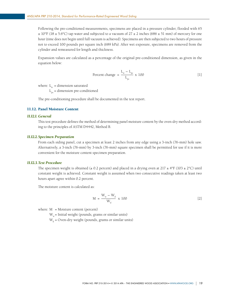<span id="page-23-0"></span>Following the pre-conditioned measurements, specimens are placed in a pressure cylinder, flooded with 65  $\pm$  10°F (18  $\pm$  5.6°C) tap water and subjected to a vacuum of 27  $\pm$  2 inches (686  $\pm$  51 mm) of mercury for one hour (time does not begin until full vacuum is achieved). Specimens are then subjected to two hours of pressure not to exceed 100 pounds per square inch (689 kPa). After wet exposure, specimens are removed from the cylinder and remeasured for length and thickness.

Expansion values are calculated as a percentage of the original pre-conditioned dimension, as given in the equation below:

Percent change = 
$$
\frac{L_w - L_{pc}}{L_{pc}} \times 100
$$
 [1]

where:  $L_w$  = dimension saturated

 $L_{\text{pc}}$  = dimension pre-conditioned

The pre-conditioning procedure shall be documented in the test report.

# 11.12. Panel Moisture Content

## *11.12.1. General*

This test procedure defines the method of determining panel moisture content by the oven-dry method according to the principles of ASTM D4442, Method B.

#### *11.12.2. Specimen Preparation*

From each siding panel, cut a specimen at least 2 inches from any edge using a 3-inch (76-mm) hole saw. Alternatively, a 3-inch (76-mm) by 3-inch (76-mm) square specimen shall be permitted for use if it is more convenient for the moisture content specimen preparation.

## *11.12.3. Test Procedure*

The specimen weight is obtained ( $\pm$  0.2 percent) and placed in a drying oven at 217  $\pm$  4°F (103  $\pm$  2°C) until constant weight is achieved. Constant weight is assumed when two consecutive readings taken at least two hours apart agree within 0.2 percent.

The moisture content is calculated as:

$$
M = \frac{W_w - W_d}{W_d} \times 100
$$
 [2]

where:  $M = M$ oisture content (percent)

 $W_w$  = Initial weight (pounds, grams or similar units)

 $W_d$  = Oven-dry weight (pounds, grams or similar units)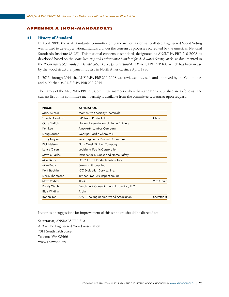#### <span id="page-24-0"></span>APPENDIX A (NON-MANDATORY)

## A1. History of Standard

In April 2008, the APA Standards Committee on Standard for Performance-Rated Engineered Wood Siding was formed to develop a national standard under the consensus processes accredited by the American National Standards Institute (ANSI). This national consensus standard, designated as ANSI/APA PRP 210-2008, is developed based on the *Manufacturing and Performance Standard for APA Rated Siding Panels*, as documented in the *Performance Standards and Qualification Policy for Structural-Use Panels*, APA PRP 108, which has been in use by the wood structural panel industry in North America since April 1980.

In 2013 through 2014, the ANSI/APA PRP 210-2008 was reviewed, revised, and approved by the Committee, and published as ANSI/APA PRR 210-2014.

The names of the ANSI/APA PRP 210 Committee members when the standard is published are as follows. The current list of the committee membership is available from the committee secretariat upon request.

| <b>NAME</b>          | <b>AFFILIATION</b>                       |             |
|----------------------|------------------------------------------|-------------|
| Mark Aucoin          | <b>Momentive Specialty Chemicals</b>     |             |
| Christie Cordova     | <b>GP Wood Products LLC</b>              | Chair       |
| Gary Ehrlich         | National Association of Home Builders    |             |
| Ken Lau              | Ainsworth Lumber Company                 |             |
| Doug Mason           | Georgia-Pacific Chemicals                |             |
| <b>Tracy Naylor</b>  | Roseburg Forest Products Company         |             |
| Rick Nelson          | Plum Creek Timber Company                |             |
| Lance Olson          | Louisiana-Pacific Corporation            |             |
| <b>Steve Quarles</b> | Institute for Business and Home Safety   |             |
| Mike Ritter          | <b>USDA Forest Products Laboratory</b>   |             |
| Mike Rudy            | Swanson Group, Inc.                      |             |
| Kurt Stochlia        | ICC Evaluation Service, Inc.             |             |
| Darin Thompson       | Timber Products Inspection, Inc.         |             |
| <b>Steve Verhey</b>  | <b>TECO</b>                              | Vice Chair  |
| <b>Randy Webb</b>    | Benchmark Consulting and Inspection, LLC |             |
| Blair Wilding        | Arclin                                   |             |
| Borjen Yeh           | APA – The Engineered Wood Association    | Secretariat |

Inquiries or suggestions for improvement of this standard should be directed to:

Secretariat, ANSI/APA PRP 210 APA – The Engineered Wood Association 7011 South 19th Street Tacoma, WA 98466 www.apawood.org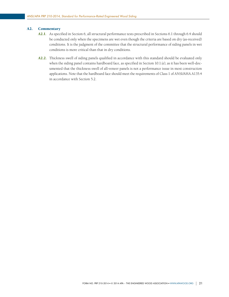## <span id="page-25-0"></span>A2. Commentary

- *A2.1.* As specified in Section 6, all structural performance tests prescribed in Sections 6.1 through 6.4 should be conducted only when the specimens are wet even though the criteria are based on dry (as-received) conditions. It is the judgment of the committee that the structural performance of siding panels in wet conditions is more critical than that in dry conditions.
- *A2.2.* Thickness swell of siding panels qualified in accordance with this standard should be evaluated only when the siding panel contains hardboard face, as specified in Section 10.1.(e), as it has been well-documented that the thickness swell of all-veneer panels is not a performance issue in most construction applications. Note that the hardboard face should meet the requirements of Class 1 of ANSI/AHA A135.4 in accordance with Section 5.2.